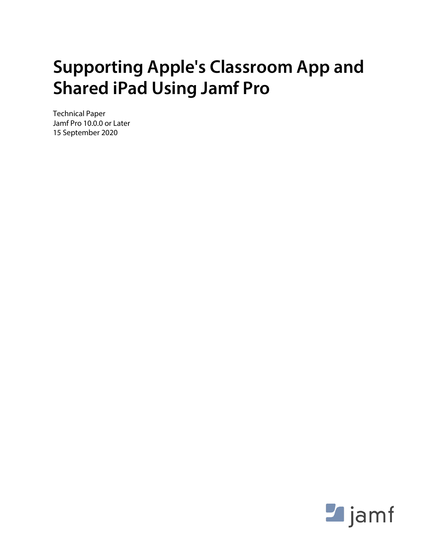## **Supporting Apple's Classroom App and Shared iPad Using Jamf Pro**

Technical Paper Jamf Pro 10.0.0 or Later 15 September 2020

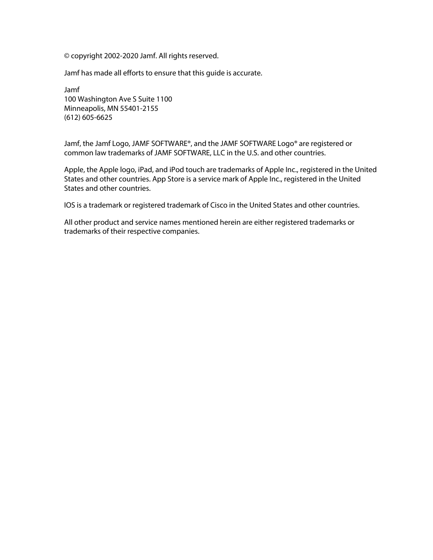© copyright 2002-2020 Jamf. All rights reserved.

Jamf has made all efforts to ensure that this guide is accurate.

Jamf 100 Washington Ave S Suite 1100 Minneapolis, MN 55401-2155 (612) 605-6625

Jamf, the Jamf Logo, JAMF SOFTWARE®, and the JAMF SOFTWARE Logo® are registered or common law trademarks of JAMF SOFTWARE, LLC in the U.S. and other countries.

Apple, the Apple logo, iPad, and iPod touch are trademarks of Apple Inc., registered in the United States and other countries. App Store is a service mark of Apple Inc., registered in the United States and other countries.

IOS is a trademark or registered trademark of Cisco in the United States and other countries.

All other product and service names mentioned herein are either registered trademarks or trademarks of their respective companies.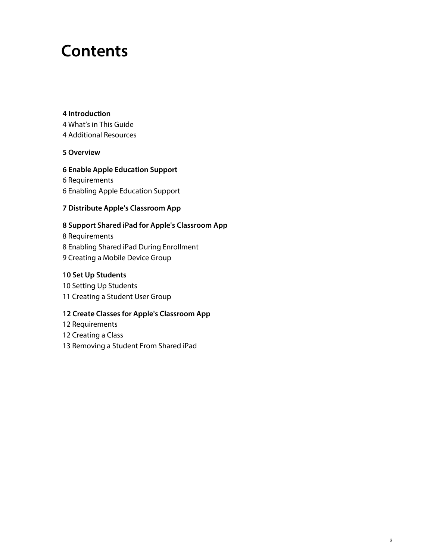## **Contents**

#### **[Introduction](#page-3-0)**

 [What's in This Guide](#page-3-1) [Additional Resources](#page-3-2)

#### **[Overview](#page-4-0)**

#### **[Enable Apple Education Support](#page-5-0)**

 [Requirements](#page-5-1) [Enabling Apple Education Support](#page-5-2)

#### **[Distribute Apple's Classroom App](#page-6-0)**

#### **[Support Shared iPad for Apple's Classroom App](#page-7-0)**

 [Requirements](#page-7-1) [Enabling Shared iPad During Enrollment](#page-7-2) [Creating a Mobile Device Group](#page-8-0)

#### **[Set Up Students](#page-9-0)**

 [Setting Up Students](#page-9-1) [Creating a Student User Group](#page-10-0)

#### **[Create Classes for Apple's Classroom App](#page-11-0)**

[Requirements](#page-11-1)

[Creating a Class](#page-11-2)

[Removing a Student From Shared iPad](#page-12-0)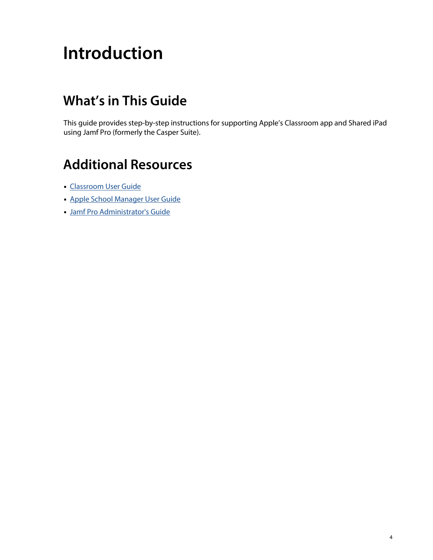# <span id="page-3-0"></span>**Introduction**

## <span id="page-3-1"></span>**What's in This Guide**

This guide provides step-by-step instructions for supporting Apple's Classroom app and Shared iPad using Jamf Pro (formerly the Casper Suite).

### <span id="page-3-2"></span>**Additional Resources**

- **[Classroom User Guide](https://support.apple.com/guide/classroom/welcome/ipados)**
- **[Apple School Manager User Guide](https://support.apple.com/guide/apple-school-manager/welcome/web)**
- [Jamf Pro Administrator's Guide](https://docs.jamf.com/jamf-pro/administrator-guide/)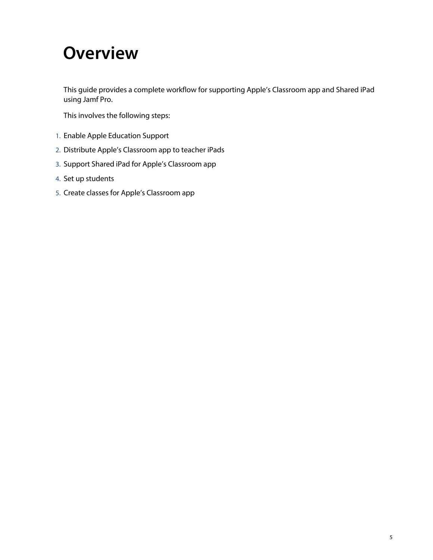## <span id="page-4-0"></span>**Overview**

This guide provides a complete workflow for supporting Apple's Classroom app and Shared iPad using Jamf Pro.

This involves the following steps:

- 1. Enable Apple Education Support
- 2. Distribute Apple's Classroom app to teacher iPads
- 3. Support Shared iPad for Apple's Classroom app
- 4. Set up students
- 5. Create classes for Apple's Classroom app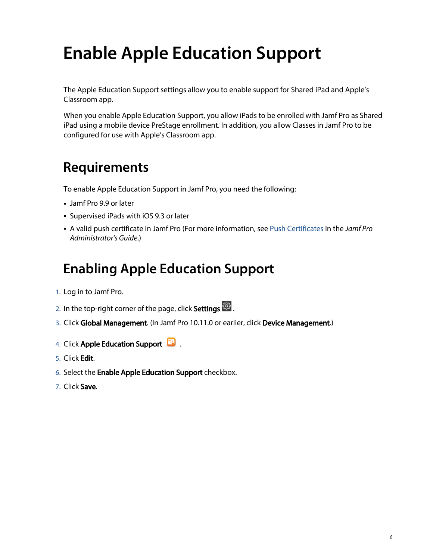# <span id="page-5-0"></span>**Enable Apple Education Support**

The Apple Education Support settings allow you to enable support for Shared iPad and Apple's Classroom app.

When you enable Apple Education Support, you allow iPads to be enrolled with Jamf Pro as Shared iPad using a mobile device PreStage enrollment. In addition, you allow Classes in Jamf Pro to be configured for use with Apple's Classroom app.

### <span id="page-5-1"></span>**Requirements**

To enable Apple Education Support in Jamf Pro, you need the following:

- Jamf Pro 9.9 or later
- **Supervised iPads with iOS 9.3 or later**
- A valid push certificate in Jamf Pro (For more information, see [Push Certificates](https://docs.jamf.com/jamf-pro/administrator-guide/Push_Certificates.html) in the *Jamf Pro Administrator's Guide*.)

### **Enabling Apple Education Support**

- <span id="page-5-2"></span>1. Log in to Jamf Pro.
- 2. In the top-right corner of the page, click **Settings <sup>198</sup>.**
- 3. Click Global Management. (In Jamf Pro 10.11.0 or earlier, click Device Management.)
- 4. Click Apple Education Support **B**.
- 5. Click Edit.
- 6. Select the **Enable Apple Education Support** checkbox.
- 7. Click Save.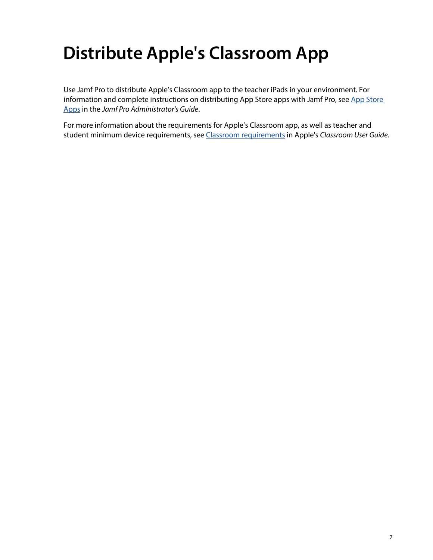# <span id="page-6-0"></span>**Distribute Apple's Classroom App**

Use Jamf Pro to distribute Apple's Classroom app to the teacher iPads in your environment. For information and complete instructions on distributing [App Store](https://docs.jamf.com/jamf-pro/administrator-guide/App_Store_Apps.html) apps with Jamf Pro, see App Store [Apps](https://docs.jamf.com/jamf-pro/administrator-guide/App_Store_Apps.html) in the *Jamf Pro Administrator's Guide*.

For more information about the requirements for Apple's Classroom app, as well as teacher and student minimum device requirements, see [Classroom requirements](https://support.apple.com/guide/classroom/classroom-requirements-clac1b9b4dx8/) in Apple's *Classroom User Guide*.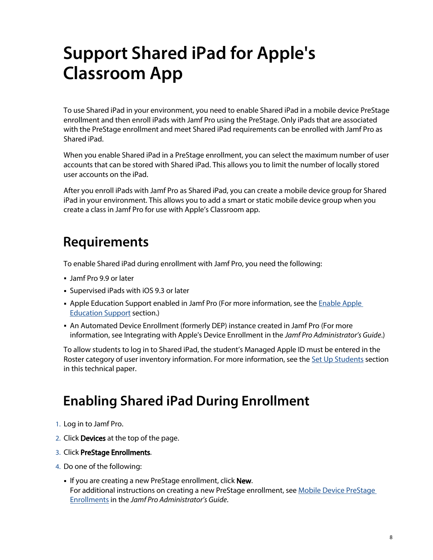## <span id="page-7-0"></span>**Support Shared iPad for Apple's Classroom App**

To use Shared iPad in your environment, you need to enable Shared iPad in a mobile device PreStage enrollment and then enroll iPads with Jamf Pro using the PreStage. Only iPads that are associated with the PreStage enrollment and meet Shared iPad requirements can be enrolled with Jamf Pro as Shared iPad.

When you enable Shared iPad in a PreStage enrollment, you can select the maximum number of user accounts that can be stored with Shared iPad. This allows you to limit the number of locally stored user accounts on the iPad.

After you enroll iPads with Jamf Pro as Shared iPad, you can create a mobile device group for Shared iPad in your environment. This allows you to add a smart or static mobile device group when you create a class in Jamf Pro for use with Apple's Classroom app.

### <span id="page-7-1"></span>**Requirements**

To enable Shared iPad during enrollment with Jamf Pro, you need the following:

- Jamf Pro 9.9 or later
- Supervised iPads with iOS 9.3 or later
- Apple Education Support enabled in Jamf Pro (For more information, see the Enable Apple [Education Support](#page-5-0) section.)
- An Automated Device Enrollment (formerly DEP) instance created in Jamf Pro (For more information, see Integrating with Apple's Device Enrollment in the *Jamf Pro Administrator's Guide*.)

To allow students to log in to Shared iPad, the student's Managed Apple ID must be entered in the Roster category of user inventory information. For more information, see the [Set Up Students](#page-9-0) section in this technical paper.

### **Enabling Shared iPad During Enrollment**

- <span id="page-7-2"></span>1. Log in to Jamf Pro.
- 2. Click **Devices** at the top of the page.
- 3. Click PreStage Enrollments.
- 4. Do one of the following:
	- If you are creating a new PreStage enrollment, click **New**. For additional instructions on creating a new PreStage enrollment, see Mobile Device PreStage [Enrollments](https://docs.jamf.com/jamf-pro/administrator-guide/Mobile_Device_PreStage_Enrollments.html) in the *Jamf Pro Administrator's Guide*.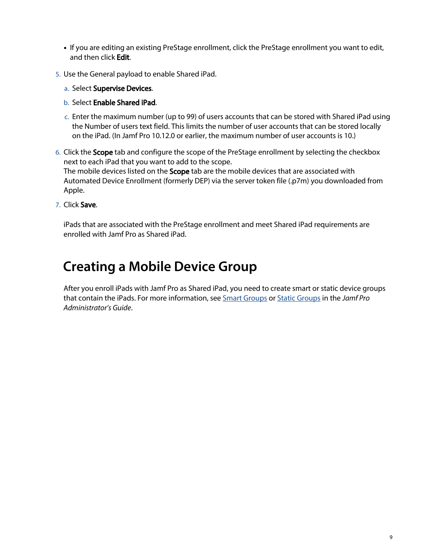- If you are editing an existing PreStage enrollment, click the PreStage enrollment you want to edit, and then click Edit.
- 5. Use the General payload to enable Shared iPad.
	- a. Select **Supervise Devices.**
	- b. Select Enable Shared iPad.
	- c. Enter the maximum number (up to 99) of users accounts that can be stored with Shared iPad using the Number of users text field. This limits the number of user accounts that can be stored locally on the iPad. (In Jamf Pro 10.12.0 or earlier, the maximum number of user accounts is 10.)
- 6. Click the Scope tab and configure the scope of the PreStage enrollment by selecting the checkbox next to each iPad that you want to add to the scope. The mobile devices listed on the Scope tab are the mobile devices that are associated with Automated Device Enrollment (formerly DEP) via the server token file (.p7m) you downloaded from Apple.
- 7. Click Save.

iPads that are associated with the PreStage enrollment and meet Shared iPad requirements are enrolled with Jamf Pro as Shared iPad.

### <span id="page-8-0"></span>**Creating a Mobile Device Group**

After you enroll iPads with Jamf Pro as Shared iPad, you need to create smart or static device groups that contain the iPads. For more information, see [Smart Groups](https://docs.jamf.com/jamf-pro/administrator-guide/Smart_Groups.html) or [Static Groups](https://docs.jamf.com/jamf-pro/administrator-guide/Static_Groups.html) in the *Jamf Pro Administrator's Guide*.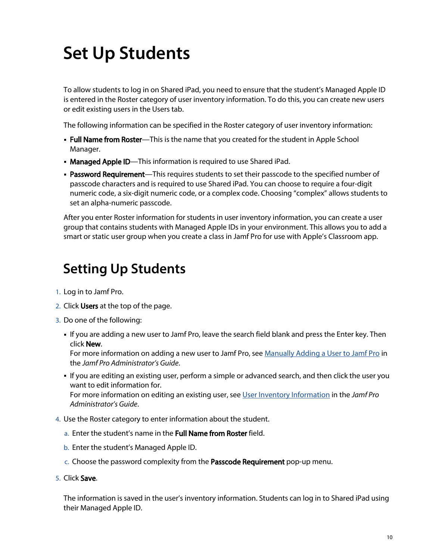# <span id="page-9-0"></span>**Set Up Students**

To allow students to log in on Shared iPad, you need to ensure that the student's Managed Apple ID is entered in the Roster category of user inventory information. To do this, you can create new users or edit existing users in the Users tab.

The following information can be specified in the Roster category of user inventory information:

- **Full Name from Roster**—This is the name that you created for the student in Apple School Manager.
- Managed Apple ID—This information is required to use Shared iPad.
- **Password Requirement**—This requires students to set their passcode to the specified number of passcode characters and is required to use Shared iPad. You can choose to require a four-digit numeric code, a six-digit numeric code, or a complex code. Choosing "complex" allows students to set an alpha-numeric passcode.

After you enter Roster information for students in user inventory information, you can create a user group that contains students with Managed Apple IDs in your environment. This allows you to add a smart or static user group when you create a class in Jamf Pro for use with Apple's Classroom app.

### <span id="page-9-1"></span>**Setting Up Students**

- 1. Log in to Jamf Pro.
- 2. Click Users at the top of the page.
- 3. Do one of the following:
	- If you are adding a new user to Jamf Pro, leave the search field blank and press the Enter key. Then click New.

For more information on adding a new user to Jamf Pro, see [Manually Adding a User to Jamf Pro](https://docs.jamf.com/jamf-pro/administrator-guide/Manually_Adding_a_User_to_Jamf_Pro.html) in the *Jamf Pro Administrator's Guide*.

- If you are editing an existing user, perform a simple or advanced search, and then click the user you want to edit information for. For more information on editing an existing user, see [User Inventory Information](https://docs.jamf.com/jamf-pro/administrator-guide/User_Inventory_Information.html) in the *Jamf Pro Administrator's Guide*.
- 4. Use the Roster category to enter information about the student.
	- a. Enter the student's name in the **Full Name from Roster** field.
	- b. Enter the student's Managed Apple ID.
	- c. Choose the password complexity from the Passcode Requirement pop-up menu.
- 5. Click Save.

The information is saved in the user's inventory information. Students can log in to Shared iPad using their Managed Apple ID.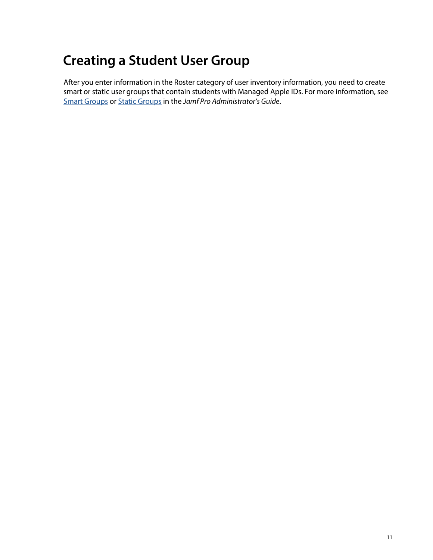## <span id="page-10-0"></span>**Creating a Student User Group**

After you enter information in the Roster category of user inventory information, you need to create smart or static user groups that contain students with Managed Apple IDs. For more information, see [Smart Groups](https://docs.jamf.com/jamf-pro/administrator-guide/Smart_Groups.html) or [Static Groups](https://docs.jamf.com/jamf-pro/administrator-guide/Static_Groups.html) in the *Jamf Pro Administrator's Guide*.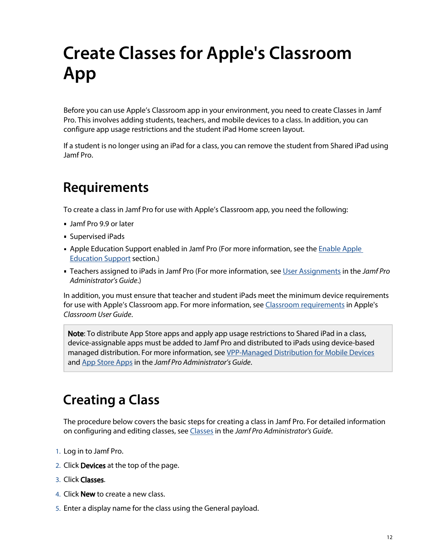# <span id="page-11-0"></span>**Create Classes for Apple's Classroom App**

Before you can use Apple's Classroom app in your environment, you need to create Classes in Jamf Pro. This involves adding students, teachers, and mobile devices to a class. In addition, you can configure app usage restrictions and the student iPad Home screen layout.

If a student is no longer using an iPad for a class, you can remove the student from Shared iPad using Jamf Pro.

## <span id="page-11-1"></span>**Requirements**

To create a class in Jamf Pro for use with Apple's Classroom app, you need the following:

- Jamf Pro 9.9 or later
- Supervised iPads
- Apple Education Support enabled in Jamf Pro (For more information, see the Enable Apple [Education Support](#page-5-0) section.)
- Teachers assigned to iPads in Jamf Pro (For more information, see [User Assignments](https://docs.jamf.com/jamf-pro/administrator-guide/User_Assignments.html) in the *Jamf Pro Administrator's Guide*.)

In addition, you must ensure that teacher and student iPads meet the minimum device requirements for use with Apple's Classroom app. For more information, see [Classroom requirements](https://support.apple.com/guide/classroom/classroom-requirements-clac1b9b4dx8/) in Apple's *Classroom User Guide*.

Note: To distribute App Store apps and apply app usage restrictions to Shared iPad in a class, device-assignable apps must be added to Jamf Pro and distributed to iPads using device-based managed distribution. For more information, see [VPP-Managed Distribution for Mobile Devices](https://docs.jamf.com/jamf-pro/administrator-guide/VPP-Managed_Distribution_for_Mobile_Devices.html) and [App Store Apps](https://docs.jamf.com/jamf-pro/administrator-guide/App_Store_Apps.html) in the *Jamf Pro Administrator's Guide*.

### <span id="page-11-2"></span>**Creating a Class**

The procedure below covers the basic steps for creating a class in Jamf Pro. For detailed information on configuring and editing classes, see [Classes](https://docs.jamf.com/jamf-pro/administrator-guide/Classes.html) in the *Jamf Pro Administrator's Guide*.

- 1. Log in to Jamf Pro.
- 2. Click **Devices** at the top of the page.
- 3. Click Classes.
- 4. Click **New** to create a new class.
- 5. Enter a display name for the class using the General payload.